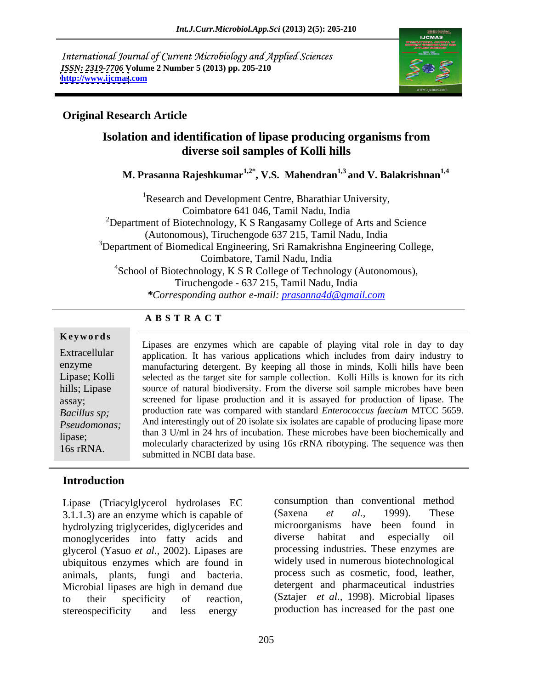International Journal of Current Microbiology and Applied Sciences *ISSN: 2319-7706* **Volume 2 Number 5 (2013) pp. 205-210 <http://www.ijcmas>.com**



### **Original Research Article**

# **Isolation and identification of lipase producing organisms from diverse soil samples of Kolli hills**

 **M. Prasanna Rajeshkumar1,2\* , V.S. Mahendran1,3 and V. Balakrishnan1,4**

<sup>1</sup>Research and Development Centre, Bharathiar University, Coimbatore 641 046, Tamil Nadu, India  $2$ Department of Biotechnology, K S Rangasamy College of Arts and Science (Autonomous), Tiruchengode 637 215, Tamil Nadu, India <sup>3</sup>Department of Biomedical Engineering, Sri Ramakrishna Engineering College, Coimbatore, Tamil Nadu, India  $4$ School of Biotechnology, K S R College of Technology (Autonomous), Tiruchengode - 637 215, Tamil Nadu, India *\*Corresponding author e-mail: prasanna4d@gmail.com*

# **A B S T R A C T**

16s rRNA.

Lipases are enzymes which are capable of playing vital role in day to day Extracellular application. It has various applications which includes from dairy industry to manufacturing detergent. By keeping all those in minds, Kolli hills have been enzyme Lipase; Kolli selected as the target site for sample collection. Kolli Hills is known for its rich hills; Lipase source of natural biodiversity. From the diverse soil sample microbes have been screened for lipase production and it is assayed for production of lipase. The assay; production rate was compared with standard *Enterococcus faecium* MTCC 5659. *Bacillus sp; Pseudomonas;* And interestingly out of 20 isolate six isolates are capable of producing lipase more than 3 U/ml in 24 hrs of incubation. These microbes have been biochemically and<br>lipase; molecularly characterized by using 16s rRNA ribotyping. The sequence was then **Keywords**<br> **Extracellular**<br> **Extracellular**<br> **Extracellular**<br> **Extracellular**<br> **EXECULE EXECULE EXECULE EXECUTE:**<br> **EXECUTE EXECUTE:**<br> **EXECUTE EXECUTE:**<br> **EXECUTE EXECUTE:**<br> **EXECUTE EXECUTE:**<br> **EXECUTE EXECUTE:**<br> **EXECU** 

# **Introduction**

Lipase (Triacylglycerol hydrolases EC consumption than conventional method 3.1.1.3) are an enzyme which is canable of (Saxena *et al.*, 1999). These 3.1.1.3) are an enzyme which is capable of  $Saxena$  *et al.*, 1999). These hydrolyzing trigly errides digly errides and microorganisms have been found in hydrolyzing triglycerides, diglycerides and microorganisms have been found in monoglycerides into fatty acids and diverse habitat and especially oil monoglycerides into fatty acids and glycerol (Yasuo *et al.,* 2002). Lipases are ubiquitous enzymes which are found in animals, plants, fungi and bacteria. Microbial lipases are high in demand due stereospecificity and less energy production has increased for the past one

to their specificity of reaction, (Sztajer *et al.*, 1998). Microbial lipases consumption than conventional method (Saxena *et al.,* 1999). These microorganisms have been found in diverse habitat and especially oil processing industries. These enzymes are widely used in numerous biotechnological process such as cosmetic, food, leather, detergent and pharmaceutical industries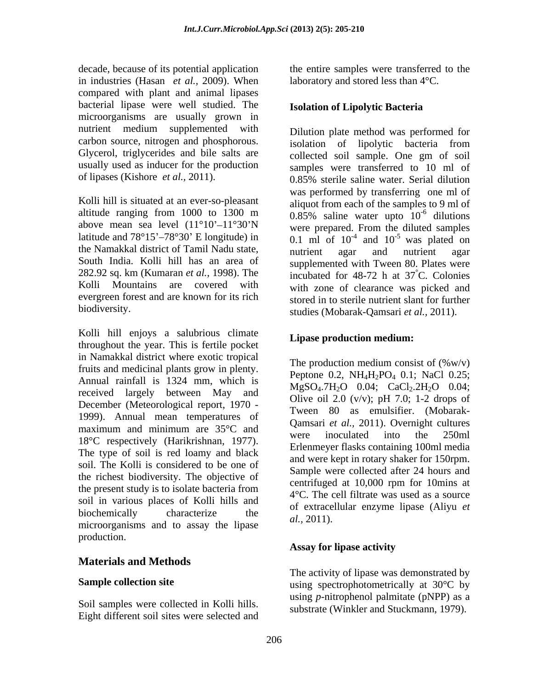decade, because of its potential application the entire samples were transferred to the in industries (Hasan *et al.,* 2009). When compared with plant and animal lipases bacterial lipase were well studied. The microorganisms are usually grown in nutrient medium supplemented with carbon source, nitrogen and phosphorous. Glycerol, triglycerides and bile salts are usually used as inducer for the production

Kolli hill is situated at an ever-so-pleasant the Namakkal district of Tamil Nadu state, 282.92 sq. km (Kumaran *et al.,* 1998). The Kolli Mountains are covered with evergreen forest and are known for its rich

Kolli hill enjoys a salubrious climate throughout the year. This is fertile pocket in Namakkal district where exotic tropical fruits and medicinal plants grow in plenty. Annual rainfall is 1324 mm, which is received largely between May and December (Meteorological report, 1970 - 1999). Annual mean temperatures of maximum and minimum are  $35^{\circ}$ C and  $\frac{\text{Vannant et }u_i, 2011}{{\text{magnot}}}}{250}$ maximum and minimum are 55 c and<br>18°C respectively (Harikrishnan, 1977). The type of soil is red loamy and black soil. The Kolli is considered to be one of the richest biodiversity. The objective of the present study is to isolate bacteria from soil in various places of Kolli hills and biochemically characterize the  $\frac{61}{2}$  2011)  $\frac{1}{2}$  microorganisms and to assay the lipase  $\frac{1}{2}$ . 2011). production.

# **Materials and Methods**

Soil samples were collected in Kolli hills. Eight different soil sites were selected and laboratory and stored less than 4°C.

### **Isolation of Lipolytic Bacteria**

of lipases (Kishore *et al.,* 2011). 0.85% sterile saline water. Serial dilution altitude ranging from 1000 to 1300 m  $0.85\%$  saline water upto  $10^{-6}$  dilutions above mean sea level  $(11^{\circ}10^{\circ}-11^{\circ}30^{\circ})$  were prepared. From the diluted samples latitude and  $78^{\circ}15' - 78^{\circ}30'$  E longitude) in  $0.1 \text{ ml of } 10^{-4}$  and  $10^{-5}$  was plated on South India. Kolli hill has an area of supplemented with Tween 80. Plates were biodiversity. studies (Mobarak-Qamsari *et al.,* 2011). Dilution plate method was performed for isolation of lipolytic bacteria from collected soil sample. One gm of soil samples were transferred to 10 ml of was performed by transferring one ml of aliquot from each of the samples to 9 ml of  $-6$  dilutions dilutions and the state of the state of the state of the state of the state of the state of the state of the state of the state of the state of the state of the state of the state of the state of the state of the state of was plated on nutrient agar and nutrient agar incubated for  $48-72$  h at  $37^{\circ}$ C. Colonies °C. Colonies with zone of clearance was picked and stored in to sterile nutrient slant for further

## **Lipase production medium:**

The production medium consist of  $(\%w/v)$ Peptone 0.2, NH<sub>4</sub>H<sub>2</sub>PO<sub>4</sub> 0.1; NaCl 0.25; MgSO<sub>4</sub>.7H<sub>2</sub>O 0.04; CaCl<sub>2</sub>.2H<sub>2</sub>O 0.04; Olive oil 2.0 (v/v); pH 7.0; 1-2 drops of Tween 80 as emulsifier. (Mobarak- Qamsari *et al.,* 2011). Overnight cultures were inoculated into the 250ml Erlenmeyer flasks containing 100ml media and were kept in rotary shaker for 150rpm. Sample were collected after 24 hours and centrifuged at 10,000 rpm for 10mins at 4°C. The cell filtrate was used as a source of extracellular enzyme lipase (Aliyu *et al.,* 2011).

## **Assay for lipase activity**

**Sample collection site and intervally at substantially at 30°C by** using spectrophotometrically at 30°C by The activity of lipase was demonstrated by using *p*-nitrophenol palmitate (pNPP) as a substrate (Winkler and Stuckmann, 1979).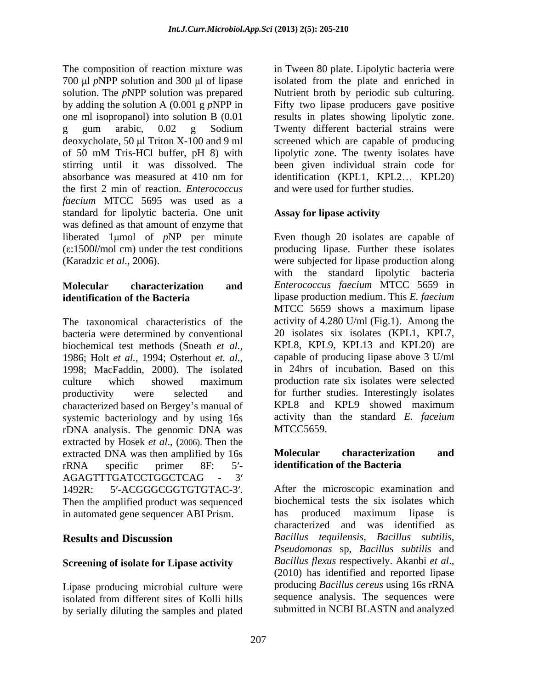The composition of reaction mixture was in Tween 80 plate. Lipolytic bacteria were 700 µl *p*NPP solution and 300 µl of lipase isolated from the plate and enriched in solution. The *pNPP* solution was prepared Mutrient broth by periodic sub culturing. by adding the solution A (0.001 g *p*NPP in Fifty two lipase producers gave positive one ml isopropanol) into solution B (0.01 results in plates showing lipolytic zone. g gum arabic, 0.02 g Sodium Twenty different bacterial strains were deoxycholate, 50 µl Triton X-100 and 9 ml screened which are capable of producing of 50 mM Tris-HCl buffer, pH 8) with stirring until it was dissolved. The been given individual strain code for absorbance was measured at 410 nm for identification (KPL1, KPL2... KPL20) the first 2 min of reaction. *Enterococcus faecium* MTCC 5695 was used as a standard for lipolytic bacteria. One unit **Assay for lipase activity** was defined as that amount of enzyme that liberated 1 µmol of pNP per minute Even though 20 isolates are capable of ( $\varepsilon$ :1500*l*/mol cm) under the test conditions producing lipase. Further these isolates (Karadzic *et al.,* 2006). were subjected for lipase production along

The taxonomical characteristics of the bacteria were determined by conventional biochemical test methods (Sneath *et al.,* KPL8, KPL9, KPL13 and KPL20) are 1986; Holt *et al.,* 1994; Osterhout *et. al.,* 1998; MacFaddin, 2000). The isolated culture which showed maximum production rate six isolates were selected productivity were selected and for further studies. Interestingly isolates characterized based on Bergey's manual of KPL8 and KPL9 showed maximum systemic bacteriology and by using 16s rDNA analysis. The genomic DNA was extracted by Hosek *et al*., (2006). Then the extracted DNA was then amplified by 16s Molecular characterization and rRNA specific primer 8F: 5'- **identification of the Bacteria** AGAGTTTGATCCTGGCTCAG - 3 1492R: 5'-ACGGGCGGTGTGTAC-3'. After the microscopic examination and Then the amplified product was sequenced in automated gene sequencer ABI Prism. has produced maximum lipase is

## **Screening of isolate for Lipase activity**

Lipase producing microbial culture were isolated from different sites of Kolli hills by serially diluting the samples and plated lipolytic zone. The twenty isolates have identification (KPL1, KPL2... KPL20) and were used for further studies.

### **Assay for lipase activity**

**Molecular characterization and** *Enterococcus faecium* MTCC 5659 in **identification of the Bacteria** lipase production medium. This *E. faecium* with the standard lipolytic bacteria MTCC 5659 shows a maximum lipase activity of 4.280 U/ml (Fig.1). Among the 20 isolates six isolates (KPL1, KPL7, capable of producing lipase above 3 U/ml in 24hrs of incubation. Based on this production rate six isolates were selected KPL8 and KPL9 showed maximum activity than the standard *E. faceium* MTCC5659.

### **Molecular characterization and identification of the Bacteria**

**Results and Discussion** *Bacillus tequilensis, Bacillus subtilis,* biochemical tests the six isolates which has produced maximum lipase is characterized and was identified as *Pseudomonas* sp, *Bacillus subtilis* and *Bacillus flexus* respectively. Akanbi *et al*., (2010) has identified and reported lipase producing *Bacillus cereus* using 16s rRNA sequence analysis. The sequences were submitted in NCBI BLASTN and analyzed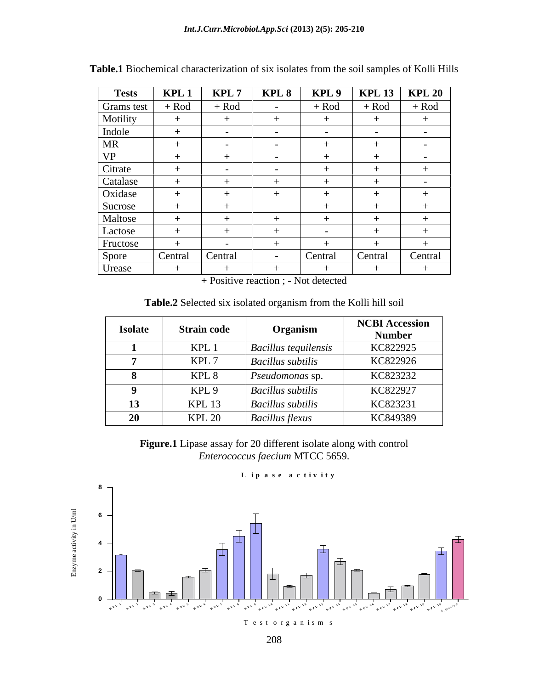| <b>Tests</b> | KPL <sub>1</sub> | KPL <sub>7</sub> | KPL 8         | KPL 9         | <b>KPL 13</b> | <b>KPL 20</b>            |
|--------------|------------------|------------------|---------------|---------------|---------------|--------------------------|
| Grams test   | $+$ Rod          | $+$ Rod          | $\sim$ $-$    | $+$ Rod       | $+$ Rod       | $+$ Rod                  |
| Motility     |                  |                  |               |               |               |                          |
| Indole       | $+$              | $\sim$           | $\sim$ $-$    | $\sim$ $\sim$ | $\sim$        | $\sim$ $-$               |
| MR           |                  | $\sim$           | $\sim$        |               |               |                          |
| VP           |                  |                  |               |               |               | $\overline{\phantom{0}}$ |
| Citrate      |                  | $\sim$ $-$       | $\sim$ $\sim$ |               |               |                          |
| Catalase     |                  |                  |               |               |               | $\sim$ $-$               |
| Oxidase      |                  |                  |               |               |               |                          |
| Sucrose      |                  |                  |               |               |               |                          |
| Maltose      |                  |                  |               |               |               |                          |
| Lactose      |                  |                  |               |               |               |                          |
| Fructose     |                  | $\sim$ $\sim$    |               |               |               |                          |
| Spore        | Central          | Central          |               | Central       | Central       | Central                  |
| Urease       |                  |                  |               |               |               |                          |

**Table.1** Biochemical characterization of six isolates from the soil samples of Kolli Hills

+ Positive reaction ; - Not detected

**Table.2** Selected six isolated organism from the Kolli hill soil

| <b>Isolate</b> | <b>Strain code</b> | Organism                      | <b>NCBI Accession</b><br><b>Number</b> |
|----------------|--------------------|-------------------------------|----------------------------------------|
|                | KPL <sub>1</sub>   | <i>Bacillus tequilensis</i>   | KC822925                               |
|                | KPL'               | <b>Bacillus</b> subtilis      | KC822926                               |
|                | KPL <sub>8</sub>   | $\mid$ <i>Pseudomonas</i> sp. | KC823232                               |
|                | KPL <sub>9</sub>   | <b>Bacillus subtilis</b>      | KC822927                               |
| 12<br>⊥⊾       | KPL 13             | <b>Bacillus subtilis</b>      | KC823231                               |
| $20^{\circ}$   | <b>KPL 20</b>      | <b>Bacillus flexus</b>        | KC849389                               |

**Figure.1** Lipase assay for 20 different isolate along with control *Enterococcus faecium* MTCC 5659.



**L i p a s e a c t i v i t y**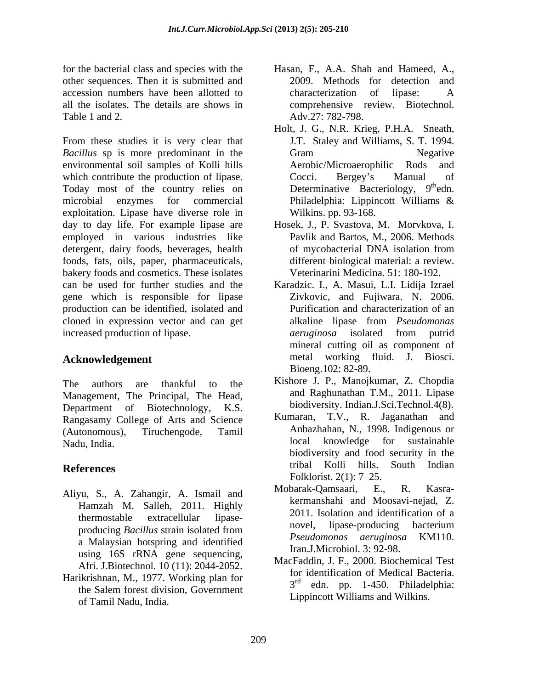for the bacterial class and species with the Hasan, F., A.A. Shah and Hameed, A., other sequences. Then it is submitted and accession numbers have been allotted to all the isolates. The details are shows in Table 1 and 2. Adv.27: 782-798.

From these studies it is very clear that *Bacillus* sp is more predominant in the Gram Segative environmental soil samples of Kolli hills which contribute the production of lipase. Cocci. Bergey's Manual of Today most of the country relies on microbial enzymes for commercial exploitation. Lipase have diverse role in day to day life. For example lipase are Hosek, J., P. Svastova, M. Morvkova, I. employed in various industries like detergent, dairy foods, beverages, health of mycobacterial DNA isolation from foods, fats, oils, paper, pharmaceuticals, bakery foods and cosmetics. These isolates can be used for further studies and the gene which is responsible for lipase production can be identified, isolated and cloned in expression vector and can get increased production of lipase. The *aeruginosa* isolated from putrid

Management, The Principal, The Head, Department of Biotechnology, K.S. biodiversity. Indian.J.Sci.Technol.4(8). Rangasamy College of Arts and Science (Autonomous), Tiruchengode, Tamil Anbazhahan, N., 1998. Indigenous or

- Hamzah M. Salleh, 2011. Highly a Malaysian hotspring and identified using 16S rRNA gene sequencing, Afri. J.Biotechnol. 10 (11): 2044-2052.
- Harikrishnan, M., 1977. Working plan for  $3<sup>rd</sup>$   $3<sup>rd</sup>$ of Tamil Nadu, India.
- 2009. Methods for detection and characterization of lipase: A comprehensive review. Biotechnol.
- Holt, J. G., N.R. Krieg, P.H.A. Sneath, J.T. Staley and Williams, S. T. 1994. Gram Negative Aerobic/Microaerophilic Rods and Cocci. Bergey's Manual of Determinative Bacteriology, 9<sup>th</sup>edn.  $th$  edn. Philadelphia: Lippincott Williams & Wilkins. pp. 93-168.
- Pavlik and Bartos, M., 2006. Methods of mycobacterial DNA isolation from different biological material: a review. Veterinarini Medicina. 51: 180-192.
- **Acknowledgement** metal working fluid. J. Biosci. Karadzic. I., A. Masui, L.I. Lidija Izrael Zivkovic, and Fujiwara. N. 2006. Purification and characterization of an alkaline lipase from *Pseudomonas aeruginosa* isolated from putrid mineral cutting oil as component of Bioeng.102: 82-89.
- The authors are thankful to the Kishore J. P., Manojkumar, Z. Chopdia and Raghunathan T.M., 2011. Lipase
- Nadu, India. local knowledge for sustainable **References** tribal Kolli hills. South Indian Kumaran, T.V., R. Jaganathan and biodiversity and food security in the Folklorist. 2(1): 7–25.
- Aliyu, S., A. Zahangir, A. Ismail and Mobarak-Qamsaari, E., R. Kasrathermostable extracellular lipase-<br> $\frac{2011}{2011}$  isose extraction to a producing *Bacillus* strain isolated from movel, lipase-producing bacterium<br>*Pseudomonas aeruginosa* KM110. Mobarak-Qamsaari, E., R. Kasra kermanshahi and Moosavi-nejad, Z. 2011. Isolation and identification of a novel, lipase-producing bacterium *Pseudomonas aeruginosa* KM110. Iran.J.Microbiol. 3: 92-98.
	- the Salem forest division, Government  $\frac{3}{1}$  cui. pp. 1-450. Final explicitum. MacFaddin, J. F., 2000. Biochemical Test for identification of Medical Bacteria. 3 rd edn. pp. 1-450. Philadelphia: Lippincott Williams and Wilkins.